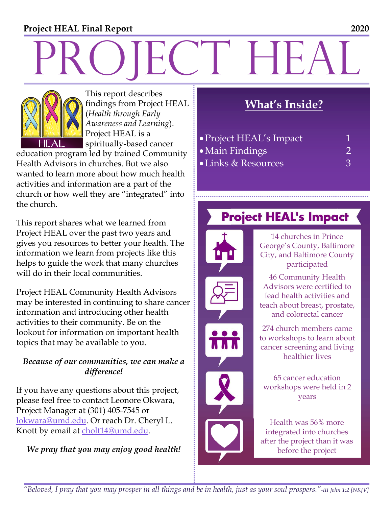#### **Project HEAL Final Report 2020**

# PROJECT HEALTH



This report describes findings from Project HEAL (*Health through Early Awareness and Learning*). Project HEAL is a spiritually-based cancer

education program led by trained Community Health Advisors in churches. But we also wanted to learn more about how much health activities and information are a part of the church or how well they are "integrated" into the church.

This report shares what we learned from Project HEAL over the past two years and gives you resources to better your health. The information we learn from projects like this helps to guide the work that many churches will do in their local communities.

Project HEAL Community Health Advisors may be interested in continuing to share cancer information and introducing other health activities to their community. Be on the lookout for information on important health topics that may be available to you.

#### *Because of our communities, we can make a difference!*

If you have any questions about this project, please feel free to contact Leonore Okwara, Project Manager at (301) 405-7545 or lokwara@umd.edu. Or reach Dr. Cheryl L. Knott by email at cholt14@umd.edu.

#### *We pray that you may enjoy good health!*

### **What's Inside?**

| • Project HEAL's Impact |               |
|-------------------------|---------------|
| • Main Findings         |               |
| • Links & Resources     | $\mathcal{R}$ |

## **Project HEAL's Impact**



14 churches in Prince George's County, Baltimore City, and Baltimore County participated

46 Community Health Advisors were certified to lead health activities and teach about breast, prostate, and colorectal cancer

274 church members came to workshops to learn about cancer screening and living healthier lives

65 cancer education workshops were held in 2 years

Health was 56% more integrated into churches after the project than it was before the project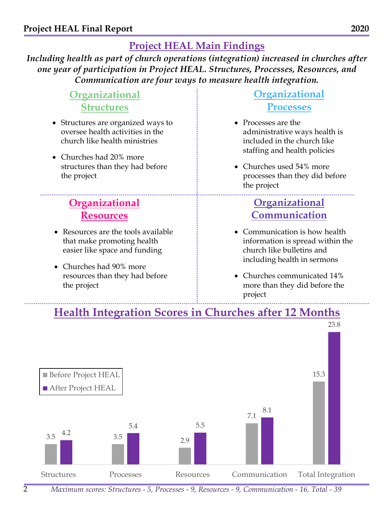#### **Project HEAL Main Findings**

*Including health as part of church operations (integration) increased in churches after one year of participation in Project HEAL. Structures, Processes, Resources, and Communication are four ways to measure health integration.*

> **Organizational Structures**

- Structures are organized ways to oversee health activities in the church like health ministries
- Churches had 20% more structures than they had before the project

## **Organizational Resources**

- Resources are the tools available that make promoting health easier like space and funding
- Churches had 90% more resources than they had before the project

#### **Organizational Processes**

- Processes are the administrative ways health is included in the church like staffing and health policies
- Churches used 54% more processes than they did before the project

### **Organizational Communication**

- Communication is how health information is spread within the church like bulletins and including health in sermons
- Churches communicated 14% more than they did before the project

### **Health Integration Scores in Churches after 12 Months**



*Maximum scores: Structures - 5, Processes - 9, Resources - 9, Communication - 16, Total - 39*